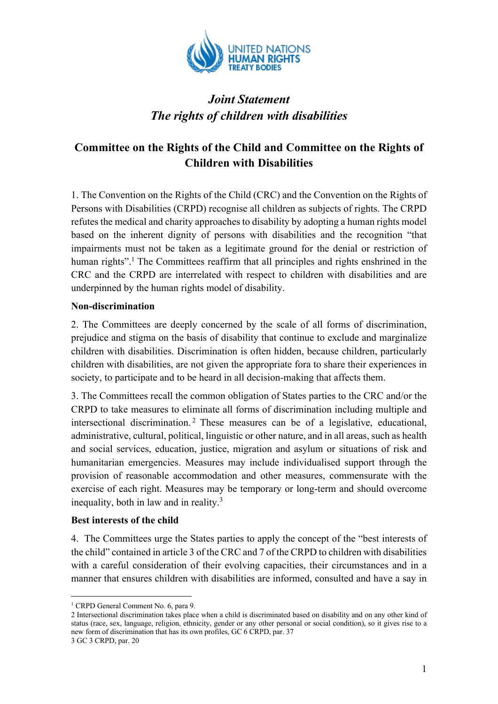

# *Joint Statement The rights of children with disabilities*

# **Committee on the Rights of the Child and Committee on the Rights of Children with Disabilities**

1. The Convention on the Rights of the Child (CRC) and the Convention on the Rights of Persons with Disabilities (CRPD) recognise all children as subjects of rights. The CRPD refutes the medical and charity approaches to disability by adopting a human rights model based on the inherent dignity of persons with disabilities and the recognition "that impairments must not be taken as a legitimate ground for the denial or restriction of human rights".<sup>1</sup> The Committees reaffirm that all principles and rights enshrined in the CRC and the CRPD are interrelated with respect to children with disabilities and are underpinned by the human rights model of disability.

#### **Non-discrimination**

2. The Committees are deeply concerned by the scale of all forms of discrimination, prejudice and stigma on the basis of disability that continue to exclude and marginalize children with disabilities. Discrimination is often hidden, because children, particularly children with disabilities, are not given the appropriate fora to share their experiences in society, to participate and to be heard in all decision-making that affects them.

3. The Committees recall the common obligation of States parties to the CRC and/or the CRPD to take measures to eliminate all forms of discrimination including multiple and intersectional discrimination.<sup>2</sup> These measures can be of a legislative, educational, administrative, cultural, political, linguistic or other nature, and in all areas, such as health and social services, education, justice, migration and asylum or situations of risk and humanitarian emergencies. Measures may include individualised support through the provision of reasonable accommodation and other measures, commensurate with the exercise of each right. Measures may be temporary or long-term and should overcome inequality, both in law and in reality. $3$ 

#### **Best interests of the child**

4. The Committees urge the States parties to apply the concept of the "best interests of the child" contained in article 3 of the CRC and 7 of the CRPD to children with disabilities with a careful consideration of their evolving capacities, their circumstances and in a manner that ensures children with disabilities are informed, consulted and have a say in

<sup>&</sup>lt;sup>1</sup> CRPD General Comment No. 6, para 9.

<sup>2</sup> Intersectional discrimination takes place when a child is discriminated based on disability and on any other kind of status (race, sex, language, religion, ethnicity, gender or any other personal or social condition), so it gives rise to a new form of discrimination that has its own profiles, GC 6 CRPD, par. 37 3 GC 3 CRPD, par. 20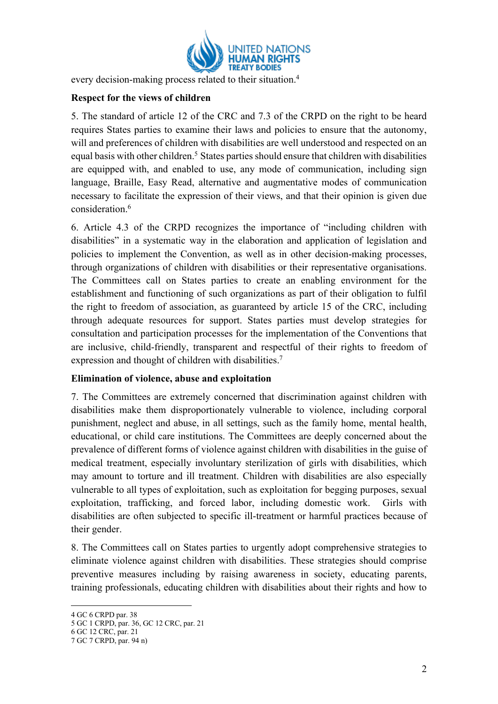

every decision-making process related to their situation.<sup>4</sup>

#### **Respect for the views of children**

5. The standard of article 12 of the CRC and 7.3 of the CRPD on the right to be heard requires States parties to examine their laws and policies to ensure that the autonomy, will and preferences of children with disabilities are well understood and respected on an equal basis with other children.<sup>5</sup> States parties should ensure that children with disabilities are equipped with, and enabled to use, any mode of communication, including sign language, Braille, Easy Read, alternative and augmentative modes of communication necessary to facilitate the expression of their views, and that their opinion is given due consideration. 6

6. Article 4.3 of the CRPD recognizes the importance of "including children with disabilities" in a systematic way in the elaboration and application of legislation and policies to implement the Convention, as well as in other decision-making processes, through organizations of children with disabilities or their representative organisations. The Committees call on States parties to create an enabling environment for the establishment and functioning of such organizations as part of their obligation to fulfil the right to freedom of association, as guaranteed by article 15 of the CRC, including through adequate resources for support. States parties must develop strategies for consultation and participation processes for the implementation of the Conventions that are inclusive, child-friendly, transparent and respectful of their rights to freedom of expression and thought of children with disabilities.<sup>7</sup>

#### **Elimination of violence, abuse and exploitation**

7. The Committees are extremely concerned that discrimination against children with disabilities make them disproportionately vulnerable to violence, including corporal punishment, neglect and abuse, in all settings, such as the family home, mental health, educational, or child care institutions. The Committees are deeply concerned about the prevalence of different forms of violence against children with disabilities in the guise of medical treatment, especially involuntary sterilization of girls with disabilities, which may amount to torture and ill treatment. Children with disabilities are also especially vulnerable to all types of exploitation, such as exploitation for begging purposes, sexual exploitation, trafficking, and forced labor, including domestic work. Girls with disabilities are often subjected to specific ill-treatment or harmful practices because of their gender.

8. The Committees call on States parties to urgently adopt comprehensive strategies to eliminate violence against children with disabilities. These strategies should comprise preventive measures including by raising awareness in society, educating parents, training professionals, educating children with disabilities about their rights and how to

<sup>4</sup> GC 6 CRPD par. 38

<sup>5</sup> GC 1 CRPD, par. 36, GC 12 CRC, par. 21

<sup>6</sup> GC 12 CRC, par. 21

<sup>7</sup> GC 7 CRPD, par. 94 n)